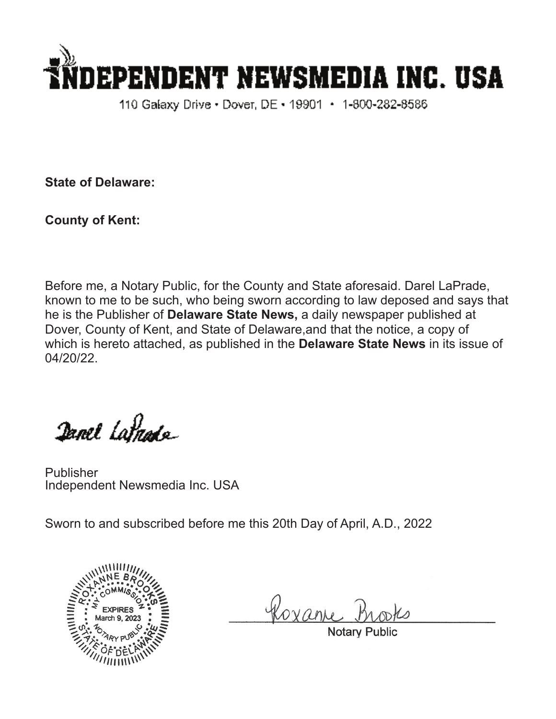

110 Galaxy Drive • Dover, DE • 19901 • 1-800-282-8586

**State of Delaware:**

**County of Kent:**

Before me, a Notary Public, for the County and State aforesaid. Darel LaPrade, known to me to be such, who being sworn according to law deposed and says that he is the Publisher of **Delaware State News,** a daily newspaper published at Dover, County of Kent, and State of Delaware,and that the notice, a copy of which is hereto attached, as published in the **Delaware State News** in its issue of 04/20/22.

Danel Latnade

Publisher Independent Newsmedia Inc. USA

Sworn to and subscribed before me this 20th Day of April, A.D., 2022



Roxan

**Notary Pub**